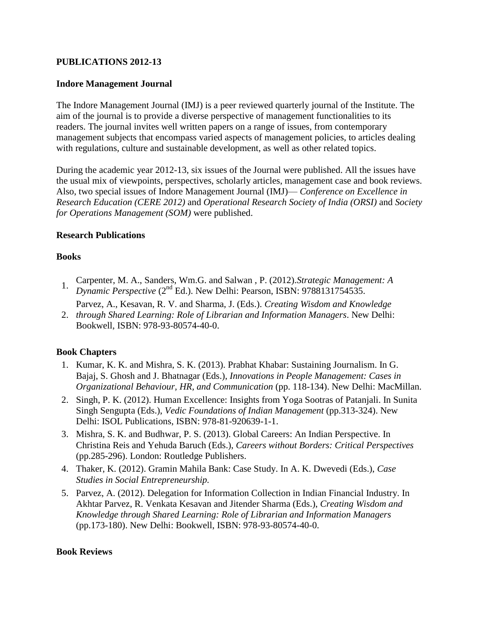## **PUBLICATIONS 2012-13**

#### **Indore Management Journal**

The Indore Management Journal (IMJ) is a peer reviewed quarterly journal of the Institute. The aim of the journal is to provide a diverse perspective of management functionalities to its readers. The journal invites well written papers on a range of issues, from contemporary management subjects that encompass varied aspects of management policies, to articles dealing with regulations, culture and sustainable development, as well as other related topics.

During the academic year 2012-13, six issues of the Journal were published. All the issues have the usual mix of viewpoints, perspectives, scholarly articles, management case and book reviews. Also, two special issues of Indore Management Journal (IMJ)— *Conference on Excellence in Research Education (CERE 2012)* and *Operational Research Society of India (ORSI)* and *Society for Operations Management (SOM)* were published.

#### **Research Publications**

#### **Books**

- 1. Carpenter, M. A., Sanders, Wm.G. and Salwan , P. (2012).*Strategic Management: A Dynamic Perspective* (2<sup>nd</sup> Ed.). New Delhi: Pearson, ISBN: 9788131754535.
- 2. *through Shared Learning: Role of Librarian and Information Managers*. New Delhi: Parvez, A., Kesavan, R. V. and Sharma, J. (Eds.). *Creating Wisdom and Knowledge*  Bookwell, ISBN: 978-93-80574-40-0.

#### **Book Chapters**

- 1. Kumar, K. K. and Mishra, S. K. (2013). Prabhat Khabar: Sustaining Journalism. In G. Bajaj, S. Ghosh and J. Bhatnagar (Eds.), *Innovations in People Management: Cases in Organizational Behaviour, HR, and Communication* (pp. 118-134). New Delhi: MacMillan.
- 2. Singh, P. K. (2012). Human Excellence: Insights from Yoga Sootras of Patanjali. In Sunita Singh Sengupta (Eds.), *Vedic Foundations of Indian Management* (pp.313-324). New Delhi: ISOL Publications, ISBN: 978-81-920639-1-1.
- 3. Mishra, S. K. and Budhwar, P. S. (2013). Global Careers: An Indian Perspective. In Christina Reis and Yehuda Baruch (Eds.), *Careers without Borders: Critical Perspectives* (pp.285-296). London: Routledge Publishers.
- 4. Thaker, K. (2012). Gramin Mahila Bank: Case Study. In A. K. Dwevedi (Eds.), *Case Studies in Social Entrepreneurship.*
- 5. Parvez, A. (2012). Delegation for Information Collection in Indian Financial Industry. In Akhtar Parvez, R. Venkata Kesavan and Jitender Sharma (Eds.), *Creating Wisdom and Knowledge through Shared Learning: Role of Librarian and Information Managers* (pp.173-180). New Delhi: Bookwell, ISBN: 978-93-80574-40-0.

#### **Book Reviews**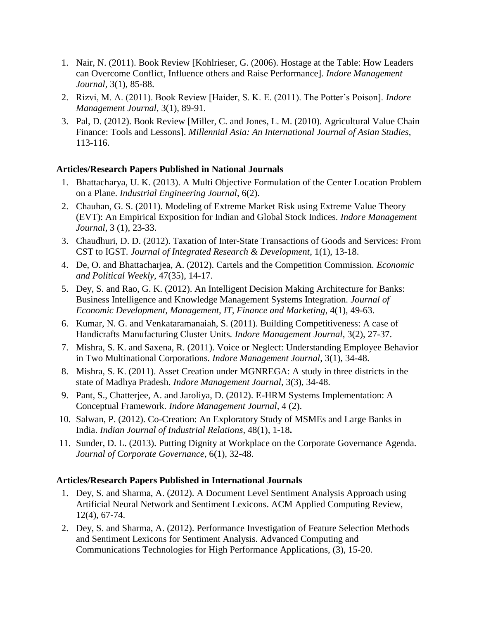- 1. Nair, N. (2011). Book Review [Kohlrieser, G. (2006). Hostage at the Table: How Leaders can Overcome Conflict, Influence others and Raise Performance]. *Indore Management Journal*, 3(1), 85-88.
- 2. Rizvi, M. A. (2011). Book Review [Haider, S. K. E. (2011). The Potter's Poison]. *Indore Management Journal*, 3(1), 89-91.
- 3. Pal, D. (2012). Book Review [Miller, C. and Jones, L. M. (2010). Agricultural Value Chain Finance: Tools and Lessons]. *Millennial Asia: An International Journal of Asian Studies*, 113-116.

## **Articles/Research Papers Published in National Journals**

- 1. Bhattacharya, U. K. (2013). A Multi Objective Formulation of the Center Location Problem on a Plane. *Industrial Engineering Journal*, 6(2).
- 2. Chauhan, G. S. (2011). Modeling of Extreme Market Risk using Extreme Value Theory (EVT): An Empirical Exposition for Indian and Global Stock Indices. *Indore Management Journal*, 3 (1), 23-33.
- 3. Chaudhuri, D. D. (2012). Taxation of Inter-State Transactions of Goods and Services: From CST to IGST*. Journal of Integrated Research & Development*, 1(1), 13-18.
- 4. De, O. and Bhattacharjea, A. (2012). Cartels and the Competition Commission. *Economic and Political Weekly*, 47(35), 14-17.
- 5. Dey, S. and Rao, G. K. (2012). An Intelligent Decision Making Architecture for Banks: Business Intelligence and Knowledge Management Systems Integration. *Journal of Economic Development, Management, IT, Finance and Marketing*, 4(1), 49-63.
- 6. Kumar, N. G. and Venkataramanaiah, S. (2011). Building Competitiveness: A case of Handicrafts Manufacturing Cluster Units*. Indore Management Journal*, 3(2), 27-37.
- 7. Mishra, S. K. and Saxena, R. (2011). Voice or Neglect: Understanding Employee Behavior in Two Multinational Corporations*. Indore Management Journal*, 3(1), 34-48.
- 8. Mishra, S. K. (2011). Asset Creation under MGNREGA: A study in three districts in the state of Madhya Pradesh. *Indore Management Journal*, 3(3), 34-48.
- 9. Pant, S., Chatterjee, A. and Jaroliya, D. (2012). E-HRM Systems Implementation: A Conceptual Framework. *Indore Management Journal*, 4 (2).
- 10. Salwan, P. (2012). Co-Creation: An Exploratory Study of MSMEs and Large Banks in India. *Indian Journal of Industrial Relations*, 48(1), 1-18**.**
- 11. Sunder, D. L. (2013). Putting Dignity at Workplace on the Corporate Governance Agenda*. Journal of Corporate Governance*, 6(1), 32-48.

## **Articles/Research Papers Published in International Journals**

- 1. Dey, S. and Sharma, A. (2012). A Document Level Sentiment Analysis Approach using Artificial Neural Network and Sentiment Lexicons. ACM Applied Computing Review, 12(4), 67-74.
- 2. Dey, S. and Sharma, A. (2012). Performance Investigation of Feature Selection Methods and Sentiment Lexicons for Sentiment Analysis. Advanced Computing and Communications Technologies for High Performance Applications, (3), 15-20.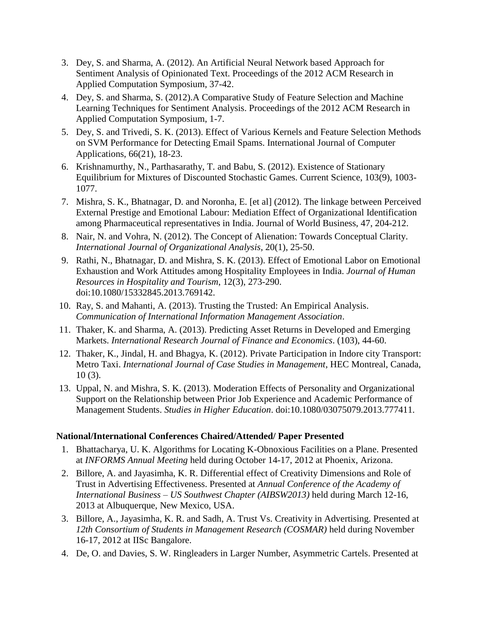- 3. Dey, S. and Sharma, A. (2012). An Artificial Neural Network based Approach for Sentiment Analysis of Opinionated Text. Proceedings of the 2012 ACM Research in Applied Computation Symposium, 37-42.
- 4. Dey, S. and Sharma, S. (2012).A Comparative Study of Feature Selection and Machine Learning Techniques for Sentiment Analysis. Proceedings of the 2012 ACM Research in Applied Computation Symposium, 1-7.
- 5. Dey, S. and Trivedi, S. K. (2013). Effect of Various Kernels and Feature Selection Methods on SVM Performance for Detecting Email Spams. International Journal of Computer Applications, 66(21), 18-23.
- 6. Krishnamurthy, N., Parthasarathy, T. and Babu, S. (2012). Existence of Stationary Equilibrium for Mixtures of Discounted Stochastic Games. Current Science, 103(9), 1003- 1077.
- 7. Mishra, S. K., Bhatnagar, D. and Noronha, E. [et al] (2012). The linkage between Perceived External Prestige and Emotional Labour: Mediation Effect of Organizational Identification among Pharmaceutical representatives in India. Journal of World Business, 47, 204-212.
- 8. Nair, N. and Vohra, N. (2012). The Concept of Alienation: Towards Conceptual Clarity. *International Journal of Organizational Analysis*, 20(1), 25-50.
- 9. Rathi, N., Bhatnagar, D. and Mishra, S. K. (2013). Effect of Emotional Labor on Emotional Exhaustion and Work Attitudes among Hospitality Employees in India. *Journal of Human Resources in Hospitality and Tourism*, 12(3), 273-290. doi:10.1080/15332845.2013.769142.
- 10. Ray, S. and Mahanti, A. (2013). Trusting the Trusted: An Empirical Analysis. *Communication of International Information Management Association*.
- 11. Thaker, K. and Sharma, A. (2013). Predicting Asset Returns in Developed and Emerging Markets. *International Research Journal of Finance and Economics*. (103), 44-60.
- 12. Thaker, K., Jindal, H. and Bhagya, K. (2012). Private Participation in Indore city Transport: Metro Taxi. *International Journal of Case Studies in Management*, HEC Montreal, Canada, 10 (3).
- 13. Uppal, N. and Mishra, S. K. (2013). Moderation Effects of Personality and Organizational Support on the Relationship between Prior Job Experience and Academic Performance of Management Students. *Studies in Higher Education*. doi:10.1080/03075079.2013.777411.

## **National/International Conferences Chaired/Attended/ Paper Presented**

- 1. Bhattacharya, U. K. Algorithms for Locating K-Obnoxious Facilities on a Plane. Presented at *INFORMS Annual Meeting* held during October 14-17, 2012 at Phoenix, Arizona.
- 2. Billore, A. and Jayasimha, K. R. Differential effect of Creativity Dimensions and Role of Trust in Advertising Effectiveness. Presented at *Annual Conference of the Academy of International Business – US Southwest Chapter (AIBSW2013)* held during March 12-16, 2013 at Albuquerque, New Mexico, USA.
- 3. Billore, A., Jayasimha, K. R. and Sadh, A. Trust Vs. Creativity in Advertising. Presented at *12th Consortium of Students in Management Research (COSMAR)* held during November 16-17, 2012 at IISc Bangalore.
- 4. De, O. and Davies, S. W. Ringleaders in Larger Number, Asymmetric Cartels. Presented at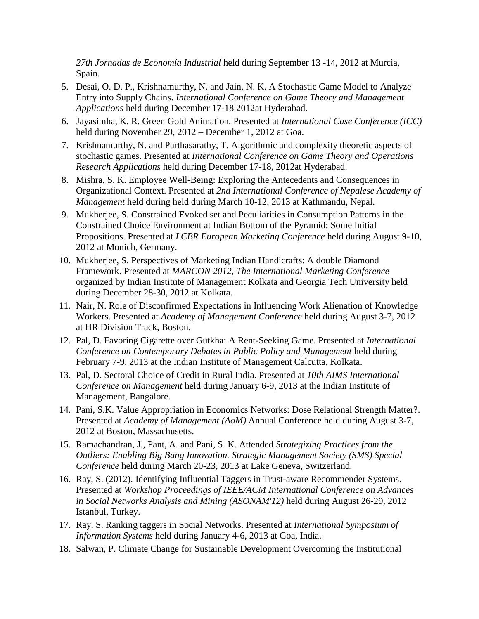*27th Jornadas de Economía Industrial* held during September 13 -14, 2012 at Murcia, Spain.

- 5. Desai, O. D. P., Krishnamurthy, N. and Jain, N. K. A Stochastic Game Model to Analyze Entry into Supply Chains. *International Conference on Game Theory and Management Applications* held during December 17-18 2012at Hyderabad.
- 6. Jayasimha, K. R. Green Gold Animation. Presented at *International Case Conference (ICC)* held during November 29, 2012 – December 1, 2012 at Goa.
- 7. Krishnamurthy, N. and Parthasarathy, T. Algorithmic and complexity theoretic aspects of stochastic games. Presented at *International Conference on Game Theory and Operations Research Applications* held during December 17-18, 2012at Hyderabad.
- 8. Mishra, S. K. Employee Well-Being: Exploring the Antecedents and Consequences in Organizational Context. Presented at *2nd International Conference of Nepalese Academy of Management* held during held during March 10-12, 2013 at Kathmandu, Nepal.
- 9. Mukherjee, S. Constrained Evoked set and Peculiarities in Consumption Patterns in the Constrained Choice Environment at Indian Bottom of the Pyramid: Some Initial Propositions. Presented at *LCBR European Marketing Conference* held during August 9-10, 2012 at Munich, Germany.
- 10. Mukherjee, S. Perspectives of Marketing Indian Handicrafts: A double Diamond Framework. Presented at *MARCON 2012, The International Marketing Conference* organized by Indian Institute of Management Kolkata and Georgia Tech University held during December 28-30, 2012 at Kolkata.
- 11. Nair, N. Role of Disconfirmed Expectations in Influencing Work Alienation of Knowledge Workers. Presented at *Academy of Management Conference* held during August 3-7, 2012 at HR Division Track, Boston.
- 12. Pal, D. Favoring Cigarette over Gutkha: A Rent-Seeking Game. Presented at *International Conference on Contemporary Debates in Public Policy and Management* held during February 7-9, 2013 at the Indian Institute of Management Calcutta, Kolkata.
- 13. Pal, D. Sectoral Choice of Credit in Rural India. Presented at *10th AIMS International Conference on Management* held during January 6-9, 2013 at the Indian Institute of Management, Bangalore.
- 14. Pani, S.K. Value Appropriation in Economics Networks: Dose Relational Strength Matter?. Presented at *Academy of Management (AoM)* Annual Conference held during August 3-7, 2012 at Boston, Massachusetts.
- 15. Ramachandran, J., Pant, A. and Pani, S. K. Attended *Strategizing Practices from the Outliers: Enabling Big Bang Innovation. Strategic Management Society (SMS) Special Conference* held during March 20-23, 2013 at Lake Geneva, Switzerland.
- 16. Ray, S. (2012). Identifying Influential Taggers in Trust-aware Recommender Systems. Presented at *Workshop Proceedings of IEEE/ACM International Conference on Advances in Social Networks Analysis and Mining (ASONAM'12)* held during August 26-29, 2012 Istanbul, Turkey.
- 17. Ray, S. Ranking taggers in Social Networks. Presented at *International Symposium of Information Systems* held during January 4-6, 2013 at Goa, India.
- 18. Salwan, P. Climate Change for Sustainable Development Overcoming the Institutional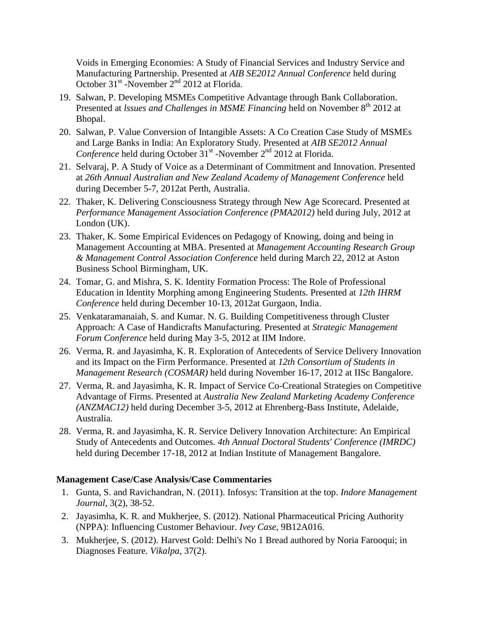Voids in Emerging Economies: A Study of Financial Services and Industry Service and Manufacturing Partnership. Presented at *AIB SE2012 Annual Conference* held during October  $31^{st}$ -November  $2^{nd}$  2012 at Florida.

- 19. Salwan, P. Developing MSMEs Competitive Advantage through Bank Collaboration. Presented at *lssues and Challenges in MSME Financing* held on November 8<sup>th</sup> 2012 at Bhopal.
- 20. Salwan, P. Value Conversion of Intangible Assets: A Co Creation Case Study of MSMEs and Large Banks in India: An Exploratory Study. Presented at *AIB SE2012 Annual*  Conference held during October 31<sup>st</sup> -November 2<sup>nd</sup> 2012 at Florida.
- 21. Selvaraj, P. A Study of Voice as a Determinant of Commitment and Innovation. Presented at *26th Annual Australian and New Zealand Academy of Management Conference* held during December 5-7, 2012at Perth, Australia.
- 22. Thaker, K. Delivering Consciousness Strategy through New Age Scorecard. Presented at *Performance Management Association Conference (PMA2012)* held during July, 2012 at London (UK).
- 23. Thaker, K. Some Empirical Evidences on Pedagogy of Knowing, doing and being in Management Accounting at MBA. Presented at *Management Accounting Research Group & Management Control Association Conference* held during March 22, 2012 at Aston Business School Birmingham, UK.
- 24. Tomar, G. and Mishra, S. K. Identity Formation Process: The Role of Professional Education in Identity Morphing among Engineering Students. Presented at *12th IHRM Conference* held during December 10-13, 2012at Gurgaon, India.
- 25. Venkataramanaiah, S. and Kumar. N. G. Building Competitiveness through Cluster Approach: A Case of Handicrafts Manufacturing. Presented at *Strategic Management Forum Conference* held during May 3-5, 2012 at IIM Indore.
- 26. Verma, R. and Jayasimha, K. R. Exploration of Antecedents of Service Delivery Innovation and its Impact on the Firm Performance. Presented at *12th Consortium of Students in Management Research (COSMAR)* held during November 16-17, 2012 at IISc Bangalore.
- 27. Verma, R. and Jayasimha, K. R. Impact of Service Co-Creational Strategies on Competitive Advantage of Firms. Presented at *Australia New Zealand Marketing Academy Conference (ANZMAC12)* held during December 3-5, 2012 at Ehrenberg-Bass Institute, Adelaide, Australia.
- 28. Verma, R. and Jayasimha, K. R. Service Delivery Innovation Architecture: An Empirical Study of Antecedents and Outcomes. *4th Annual Doctoral Students' Conference (IMRDC)* held during December 17-18, 2012 at Indian Institute of Management Bangalore.

## **Management Case/Case Analysis/Case Commentaries**

- 1. Gunta, S. and Ravichandran, N. (2011). Infosys: Transition at the top. *Indore Management Journal*, 3(2), 38-52.
- 2. Jayasimha, K. R. and Mukherjee, S. (2012). National Pharmaceutical Pricing Authority (NPPA): Influencing Customer Behaviour. *Ivey Case*, 9B12A016.
- 3. Mukherjee, S. (2012). Harvest Gold: Delhi's No 1 Bread authored by Noria Farooqui; in Diagnoses Feature. *Vikalpa*, 37(2).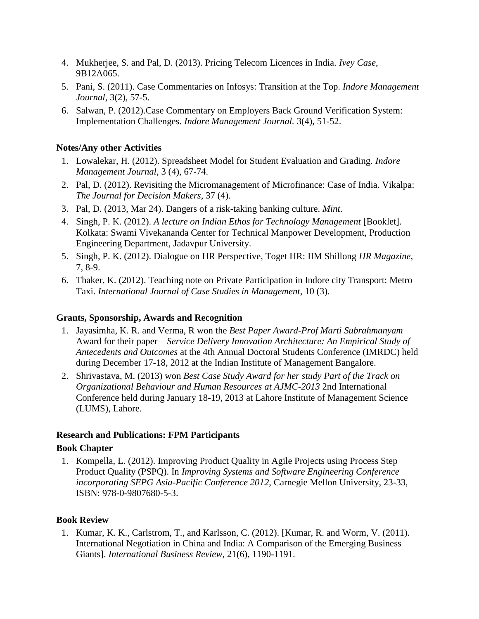- 4. Mukherjee, S. and Pal, D. (2013). Pricing Telecom Licences in India. *Ivey Case*, 9B12A065.
- 5. Pani, S. (2011). Case Commentaries on Infosys: Transition at the Top. *Indore Management Journal*, 3(2), 57-5.
- 6. Salwan, P. (2012).Case Commentary on Employers Back Ground Verification System: Implementation Challenges. *Indore Management Journal.* 3(4), 51-52.

### **Notes/Any other Activities**

- 1. Lowalekar, H. (2012). Spreadsheet Model for Student Evaluation and Grading. *Indore Management Journal*, 3 (4), 67-74.
- 2. Pal, D. (2012). Revisiting the Micromanagement of Microfinance: Case of India. Vikalpa: *The Journal for Decision Makers*, 37 (4).
- 3. Pal, D. (2013, Mar 24). Dangers of a risk-taking banking culture. *Mint*.
- 4. Singh, P. K. (2012). *A lecture on Indian Ethos for Technology Management* [Booklet]. Kolkata: Swami Vivekananda Center for Technical Manpower Development, Production Engineering Department, Jadavpur University.
- 5. Singh, P. K. (2012). Dialogue on HR Perspective, Toget HR: IIM Shillong *HR Magazine*, 7, 8-9.
- 6. Thaker, K. (2012). Teaching note on Private Participation in Indore city Transport: Metro Taxi. *International Journal of Case Studies in Management*, 10 (3).

#### **Grants, Sponsorship, Awards and Recognition**

- 1. Jayasimha, K. R. and Verma, R won the *Best Paper Award-Prof Marti Subrahmanyam* Award for their paper—*Service Delivery Innovation Architecture: An Empirical Study of Antecedents and Outcomes* at the 4th Annual Doctoral Students Conference (IMRDC) held during December 17-18, 2012 at the Indian Institute of Management Bangalore.
- 2. Shrivastava, M. (2013) won *Best Case Study Award for her study Part of the Track on Organizational Behaviour and Human Resources at AJMC-2013* 2nd International Conference held during January 18-19, 2013 at Lahore Institute of Management Science (LUMS), Lahore.

#### **Research and Publications: FPM Participants**

#### **Book Chapter**

1. Kompella, L. (2012). Improving Product Quality in Agile Projects using Process Step Product Quality (PSPQ). In *Improving Systems and Software Engineering Conference incorporating SEPG Asia-Pacific Conference 2012*, Carnegie Mellon University, 23-33, ISBN: 978-0-9807680-5-3.

#### **Book Review**

1. Kumar, K. K., Carlstrom, T., and Karlsson, C. (2012). [Kumar, R. and Worm, V. (2011). International Negotiation in China and India: A Comparison of the Emerging Business Giants]. *International Business Review*, 21(6), 1190-1191.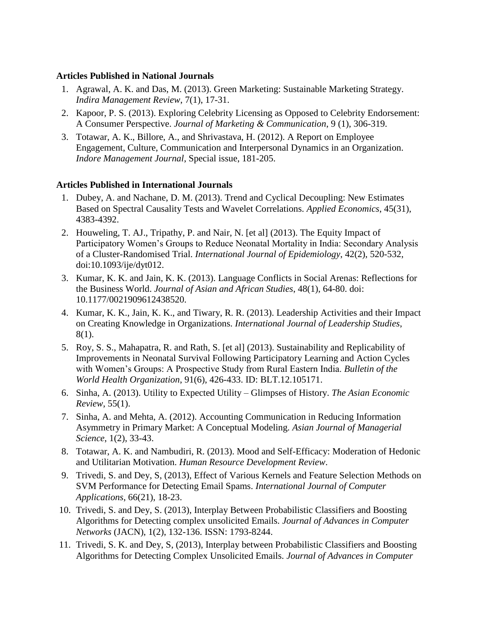#### **Articles Published in National Journals**

- 1. Agrawal, A. K. and Das, M. (2013). Green Marketing: Sustainable Marketing Strategy. *Indira Management Review*, 7(1), 17-31.
- 2. Kapoor, P. S. (2013). Exploring Celebrity Licensing as Opposed to Celebrity Endorsement: A Consumer Perspective. *Journal of Marketing & Communication*, 9 (1), 306-319.
- 3. Totawar, A. K., Billore, A., and Shrivastava, H. (2012). A Report on Employee Engagement, Culture, Communication and Interpersonal Dynamics in an Organization. *Indore Management Journal*, Special issue, 181-205.

## **Articles Published in International Journals**

- 1. Dubey, A. and Nachane, D. M. (2013). Trend and Cyclical Decoupling: New Estimates Based on Spectral Causality Tests and Wavelet Correlations. *Applied Economics*, 45(31), 4383-4392.
- 2. Houweling, T. AJ., Tripathy, P. and Nair, N. [et al] (2013). The Equity Impact of Participatory Women's Groups to Reduce Neonatal Mortality in India: Secondary Analysis of a Cluster-Randomised Trial. *International Journal of Epidemiology*, 42(2), 520-532, doi:10.1093/ije/dyt012.
- 3. Kumar, K. K. and Jain, K. K. (2013). Language Conflicts in Social Arenas: Reflections for the Business World. *Journal of Asian and African Studies*, 48(1), 64-80. doi: 10.1177/0021909612438520.
- 4. Kumar, K. K., Jain, K. K., and Tiwary, R. R. (2013). Leadership Activities and their Impact on Creating Knowledge in Organizations. *International Journal of Leadership Studies*, 8(1).
- 5. Roy, S. S., Mahapatra, R. and Rath, S. [et al] (2013). Sustainability and Replicability of Improvements in Neonatal Survival Following Participatory Learning and Action Cycles with Women's Groups: A Prospective Study from Rural Eastern India. *Bulletin of the World Health Organization*, 91(6), 426-433. ID: BLT.12.105171.
- 6. Sinha, A. (2013). Utility to Expected Utility Glimpses of History. *The Asian Economic Review*, 55(1).
- 7. Sinha, A. and Mehta, A. (2012). Accounting Communication in Reducing Information Asymmetry in Primary Market: A Conceptual Modeling. *Asian Journal of Managerial Science*, 1(2), 33-43.
- 8. Totawar, A. K. and Nambudiri, R. (2013). Mood and Self-Efficacy: Moderation of Hedonic and Utilitarian Motivation. *Human Resource Development Review*.
- 9. Trivedi, S. and Dey, S, (2013), Effect of Various Kernels and Feature Selection Methods on SVM Performance for Detecting Email Spams. *International Journal of Computer Applications*, 66(21), 18-23.
- 10. Trivedi, S. and Dey, S. (2013), Interplay Between Probabilistic Classifiers and Boosting Algorithms for Detecting complex unsolicited Emails. *Journal of Advances in Computer Networks* (JACN), 1(2), 132-136. ISSN: 1793-8244.
- 11. Trivedi, S. K. and Dey, S, (2013), Interplay between Probabilistic Classifiers and Boosting Algorithms for Detecting Complex Unsolicited Emails. *Journal of Advances in Computer*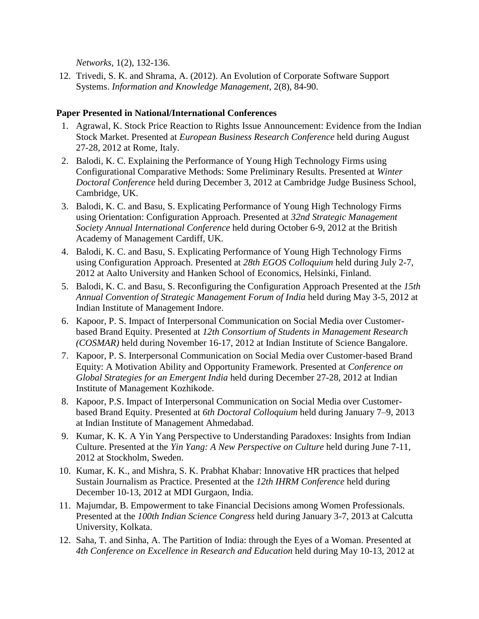*Networks*, 1(2), 132-136.

12. Trivedi, S. K. and Shrama, A. (2012). An Evolution of Corporate Software Support Systems. *Information and Knowledge Management*, 2(8), 84-90.

#### **Paper Presented in National/International Conferences**

- 1. Agrawal, K. Stock Price Reaction to Rights Issue Announcement: Evidence from the Indian Stock Market. Presented at *European Business Research Conference* held during August 27-28, 2012 at Rome, Italy.
- 2. Balodi, K. C. Explaining the Performance of Young High Technology Firms using Configurational Comparative Methods: Some Preliminary Results. Presented at *Winter Doctoral Conference* held during December 3, 2012 at Cambridge Judge Business School, Cambridge, UK.
- 3. Balodi, K. C. and Basu, S. Explicating Performance of Young High Technology Firms using Orientation: Configuration Approach. Presented at *32nd Strategic Management Society Annual International Conference* held during October 6-9, 2012 at the British Academy of Management Cardiff, UK.
- 4. Balodi, K. C. and Basu, S. Explicating Performance of Young High Technology Firms using Configuration Approach. Presented at *28th EGOS Colloquium* held during July 2-7, 2012 at Aalto University and Hanken School of Economics, Helsinki, Finland.
- 5. Balodi, K. C. and Basu, S. Reconfiguring the Configuration Approach Presented at the *15th Annual Convention of Strategic Management Forum of India* held during May 3-5, 2012 at Indian Institute of Management Indore.
- 6. Kapoor, P. S. Impact of Interpersonal Communication on Social Media over Customerbased Brand Equity. Presented at *12th Consortium of Students in Management Research (COSMAR)* held during November 16-17, 2012 at Indian Institute of Science Bangalore.
- 7. Kapoor, P. S. Interpersonal Communication on Social Media over Customer-based Brand Equity: A Motivation Ability and Opportunity Framework. Presented at *Conference on Global Strategies for an Emergent India* held during December 27-28, 2012 at Indian Institute of Management Kozhikode.
- 8. Kapoor, P.S. Impact of Interpersonal Communication on Social Media over Customerbased Brand Equity. Presented at *6th Doctoral Colloquium* held during January 7–9, 2013 at Indian Institute of Management Ahmedabad.
- 9. Kumar, K. K. A Yin Yang Perspective to Understanding Paradoxes: Insights from Indian Culture. Presented at the *Yin Yang: A New Perspective on Culture* held during June 7-11, 2012 at Stockholm, Sweden.
- 10. Kumar, K. K., and Mishra, S. K. Prabhat Khabar: Innovative HR practices that helped Sustain Journalism as Practice. Presented at the *12th IHRM Conference* held during December 10-13, 2012 at MDI Gurgaon, India.
- 11. Majumdar, B. Empowerment to take Financial Decisions among Women Professionals. Presented at the *100th Indian Science Congress* held during January 3-7, 2013 at Calcutta University, Kolkata.
- 12. Saha, T. and Sinha, A. The Partition of India: through the Eyes of a Woman. Presented at *4th Conference on Excellence in Research and Education* held during May 10-13, 2012 at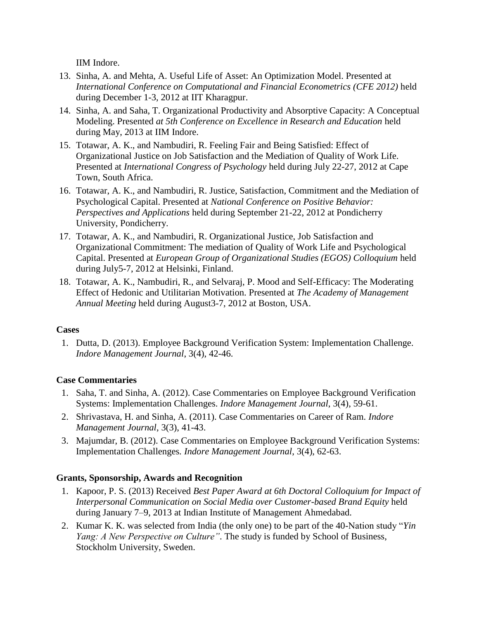IIM Indore.

- 13. Sinha, A. and Mehta, A. Useful Life of Asset: An Optimization Model. Presented at *International Conference on Computational and Financial Econometrics (CFE 2012)* held during December 1-3, 2012 at IIT Kharagpur.
- 14. Sinha, A. and Saha, T. Organizational Productivity and Absorptive Capacity: A Conceptual Modeling. Presented *at 5th Conference on Excellence in Research and Education* held during May, 2013 at IIM Indore.
- 15. Totawar, A. K., and Nambudiri, R. Feeling Fair and Being Satisfied: Effect of Organizational Justice on Job Satisfaction and the Mediation of Quality of Work Life. Presented at *International Congress of Psychology* held during July 22-27, 2012 at Cape Town, South Africa.
- 16. Totawar, A. K., and Nambudiri, R. Justice, Satisfaction, Commitment and the Mediation of Psychological Capital. Presented at *National Conference on Positive Behavior: Perspectives and Applications* held during September 21-22, 2012 at Pondicherry University, Pondicherry.
- 17. Totawar, A. K., and Nambudiri, R. Organizational Justice, Job Satisfaction and Organizational Commitment: The mediation of Quality of Work Life and Psychological Capital. Presented at *European Group of Organizational Studies (EGOS) Colloquium* held during July5-7, 2012 at Helsinki, Finland.
- 18. Totawar, A. K., Nambudiri, R., and Selvaraj, P. Mood and Self-Efficacy: The Moderating Effect of Hedonic and Utilitarian Motivation. Presented at *The Academy of Management Annual Meeting* held during August3-7, 2012 at Boston, USA.

# **Cases**

1. Dutta, D. (2013). Employee Background Verification System: Implementation Challenge. *Indore Management Journal*, 3(4), 42-46.

## **Case Commentaries**

- 1. Saha, T. and Sinha, A. (2012). Case Commentaries on Employee Background Verification Systems: Implementation Challenges. *Indore Management Journal*, 3(4), 59-61.
- 2. Shrivastava, H. and Sinha, A. (2011). Case Commentaries on Career of Ram. *Indore Management Journal*, 3(3), 41-43.
- 3. Majumdar, B. (2012). Case Commentaries on Employee Background Verification Systems: Implementation Challenges*. Indore Management Journal*, 3(4), 62-63.

# **Grants, Sponsorship, Awards and Recognition**

- 1. Kapoor, P. S. (2013) Received *Best Paper Award at 6th Doctoral Colloquium for Impact of Interpersonal Communication on Social Media over Customer-based Brand Equity* held during January 7–9, 2013 at Indian Institute of Management Ahmedabad.
- 2. Kumar K. K. was selected from India (the only one) to be part of the 40-Nation study "*Yin Yang: A New Perspective on Culture"*. The study is funded by School of Business, Stockholm University, Sweden.